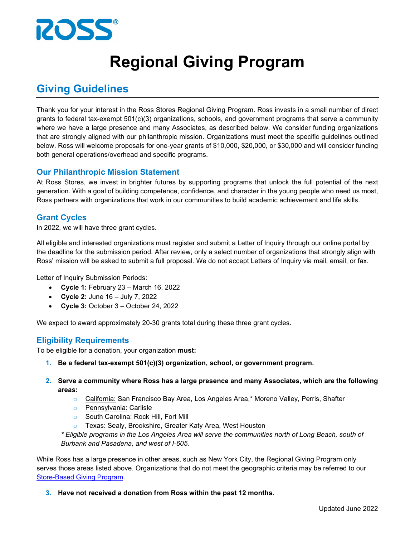

# **Regional Giving Program**

# **Giving Guidelines**

Thank you for your interest in the Ross Stores Regional Giving Program. Ross invests in a small number of direct grants to federal tax-exempt 501(c)(3) organizations, schools, and government programs that serve a community where we have a large presence and many Associates, as described below. We consider funding organizations that are strongly aligned with our philanthropic mission. Organizations must meet the specific guidelines outlined below. Ross will welcome proposals for one-year grants of \$10,000, \$20,000, or \$30,000 and will consider funding both general operations/overhead and specific programs.

# **Our Philanthropic Mission Statement**

At Ross Stores, we invest in brighter futures by supporting programs that unlock the full potential of the next generation. With a goal of building competence, confidence, and character in the young people who need us most, Ross partners with organizations that work in our communities to build academic achievement and life skills.

# **Grant Cycles**

In 2022, we will have three grant cycles.

All eligible and interested organizations must register and submit a Letter of Inquiry through our online portal by the deadline for the submission period. After review, only a select number of organizations that strongly align with Ross' mission will be asked to submit a full proposal. We do not accept Letters of Inquiry via mail, email, or fax.

Letter of Inquiry Submission Periods:

- **Cycle 1:** February 23 March 16, 2022
- **Cycle 2:** June 16 July 7, 2022
- **Cycle 3:** October 3 October 24, 2022

We expect to award approximately 20-30 grants total during these three grant cycles.

# **Eligibility Requirements**

To be eligible for a donation, your organization **must:**

- **1. Be a federal tax-exempt 501(c)(3) organization, school, or government program.**
- **2. Serve a community where Ross has a large presence and many Associates, which are the following areas:**
	- o California: San Francisco Bay Area, Los Angeles Area,\* Moreno Valley, Perris, Shafter
	- o Pennsylvania: Carlisle
	- o South Carolina: Rock Hill, Fort Mill
	- Texas: Sealy, Brookshire, Greater Katy Area, West Houston

*\* Eligible programs in the Los Angeles Area will serve the communities north of Long Beach, south of Burbank and Pasadena, and west of I-605.*

While Ross has a large presence in other areas, such as New York City, the Regional Giving Program only serves those areas listed above. Organizations that do not meet the geographic criteria may be referred to our [Store-Based Giving Program.](https://corp.rossstores.com/responsibility/giving-guidelines/store-based-giving-guidelines/)

**3. Have not received a donation from Ross within the past 12 months.**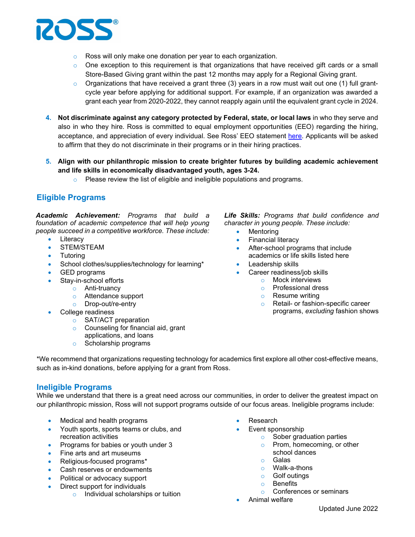

- o Ross will only make one donation per year to each organization.
- $\circ$  One exception to this requirement is that organizations that have received gift cards or a small Store-Based Giving grant within the past 12 months may apply for a Regional Giving grant.
- $\circ$  Organizations that have received a grant three (3) years in a row must wait out one (1) full grantcycle year before applying for additional support. For example, if an organization was awarded a grant each year from 2020-2022, they cannot reapply again until the equivalent grant cycle in 2024.
- **4. Not discriminate against any category protected by Federal, state, or local laws** in who they serve and also in who they hire. Ross is committed to equal employment opportunities (EEO) regarding the hiring, acceptance, and appreciation of every individual. See Ross' EEO statement [here.](https://corp.rossstores.com/eeo/) Applicants will be asked to affirm that they do not discriminate in their programs or in their hiring practices.
- **5. Align with our philanthropic mission to create brighter futures by building academic achievement and life skills in economically disadvantaged youth, ages 3-24.**
	- $\circ$  Please review the list of eligible and ineligible populations and programs.

# **Eligible Programs**

*Academic Achievement: Programs that build a foundation of academic competence that will help young people succeed in a competitive workforce. These include:*

- Literacy
- STEM/STEAM
- Tutoring
- School clothes/supplies/technology for learning\*
- GED programs
- Stay-in-school efforts
	- o Anti-truancy
	- o Attendance support
	- o Drop-out/re-entry
- College readiness
	- o SAT/ACT preparation
	- o Counseling for financial aid, grant
	- applications, and loans
	- o Scholarship programs

*Life Skills: Programs that build confidence and character in young people. These include:*

- Mentoring
- Financial literacy
- After-school programs that include academics or life skills listed here
- Leadership skills
- Career readiness/job skills
	- o Mock interviews
	- o Professional dress
	- $\circ$  Resume writing<br> $\circ$  Retail- or fashio
	- Retail- or fashion-specific career programs, *excluding* fashion shows

\*We recommend that organizations requesting technology for academics first explore all other cost-effective means, such as in-kind donations, before applying for a grant from Ross.

# **Ineligible Programs**

While we understand that there is a great need across our communities, in order to deliver the greatest impact on our philanthropic mission, Ross will not support programs outside of our focus areas. Ineligible programs include:

- Medical and health programs
- Youth sports, sports teams or clubs, and recreation activities
- Programs for babies or youth under 3
- Fine arts and art museums
- Religious-focused programs\*
- Cash reserves or endowments
- Political or advocacy support
- Direct support for individuals
	- o Individual scholarships or tuition
- **Research**
- Event sponsorship
	- o Sober graduation parties
	- o Prom, homecoming, or other school dances
	- o Galas
	- o Walk-a-thons
	- o Golf outings<br>
	o Benefits
	- **Benefits**
	- o Conferences or seminars
- Animal welfare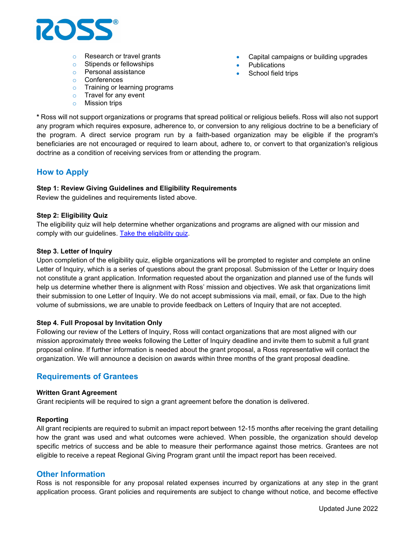

- o Research or travel grants
- o Stipends or fellowships
- o Personal assistance
- o Conferences
- o Training or learning programs
- o Travel for any event
- o Mission trips
- Capital campaigns or building upgrades
- **Publications**
- School field trips

**\*** Ross will not support organizations or programs that spread political or religious beliefs. Ross will also not support any program which requires exposure, adherence to, or conversion to any religious doctrine to be a beneficiary of the program. A direct service program run by a faith-based organization may be eligible if the program's beneficiaries are not encouraged or required to learn about, adhere to, or convert to that organization's religious doctrine as a condition of receiving services from or attending the program.

# **How to Apply**

#### **Step 1: Review Giving Guidelines and Eligibility Requirements**

Review the guidelines and requirements listed above.

#### **Step 2: Eligibility Quiz**

The eligibility quiz will help determine whether organizations and programs are aligned with our mission and comply with our guidelines. [Take the eligibility quiz.](https://www.cybergrants.com/ross/regionalquiz)

#### **Step 3. Letter of Inquiry**

Upon completion of the eligibility quiz, eligible organizations will be prompted to register and complete an online Letter of Inquiry, which is a series of questions about the grant proposal. Submission of the Letter or Inquiry does not constitute a grant application. Information requested about the organization and planned use of the funds will help us determine whether there is alignment with Ross' mission and objectives. We ask that organizations limit their submission to one Letter of Inquiry. We do not accept submissions via mail, email, or fax. Due to the high volume of submissions, we are unable to provide feedback on Letters of Inquiry that are not accepted.

#### **Step 4. Full Proposal by Invitation Only**

Following our review of the Letters of Inquiry, Ross will contact organizations that are most aligned with our mission approximately three weeks following the Letter of Inquiry deadline and invite them to submit a full grant proposal online. If further information is needed about the grant proposal, a Ross representative will contact the organization. We will announce a decision on awards within three months of the grant proposal deadline.

# **Requirements of Grantees**

#### **Written Grant Agreement**

Grant recipients will be required to sign a grant agreement before the donation is delivered.

#### **Reporting**

All grant recipients are required to submit an impact report between 12-15 months after receiving the grant detailing how the grant was used and what outcomes were achieved. When possible, the organization should develop specific metrics of success and be able to measure their performance against those metrics. Grantees are not eligible to receive a repeat Regional Giving Program grant until the impact report has been received.

#### **Other Information**

Ross is not responsible for any proposal related expenses incurred by organizations at any step in the grant application process. Grant policies and requirements are subject to change without notice, and become effective